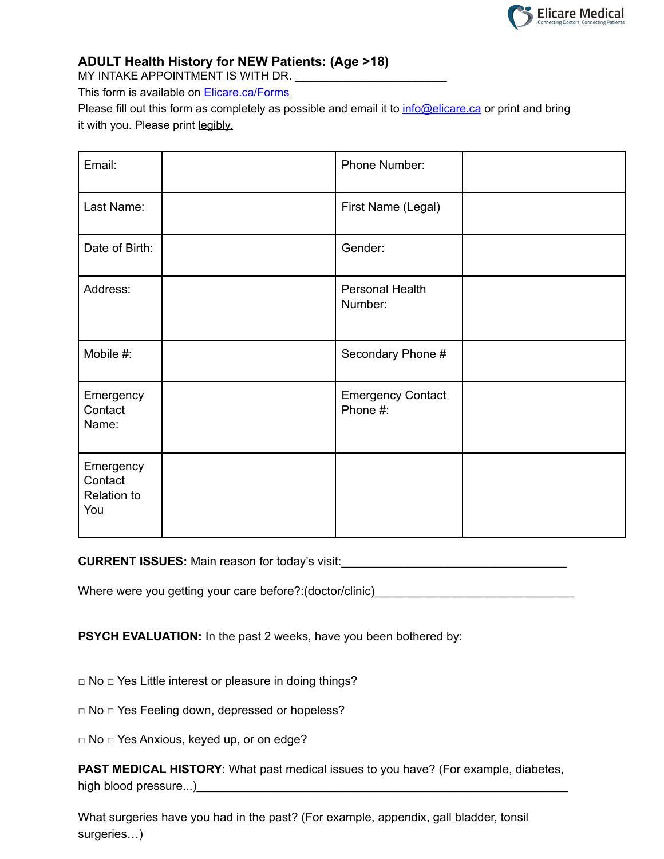

# **ADULT Health History for NEW Patients: (Age >18)**

MY INTAKE APPOINTMENT IS WITH DR.

This form is available on **Elicare.ca/Forms** 

Please fill out this form as completely as possible and email it to inf[o@elicare.ca](mailto:intake@elicare.ca) or print and bring it with you. Please print legibly.

| Email:                                     | Phone Number:                        |  |
|--------------------------------------------|--------------------------------------|--|
| Last Name:                                 | First Name (Legal)                   |  |
| Date of Birth:                             | Gender:                              |  |
| Address:                                   | Personal Health<br>Number:           |  |
| Mobile #:                                  | Secondary Phone #                    |  |
| Emergency<br>Contact<br>Name:              | <b>Emergency Contact</b><br>Phone #: |  |
| Emergency<br>Contact<br>Relation to<br>You |                                      |  |

**CURRENT ISSUES:** Main reason for today's visit:\_\_\_\_\_\_\_\_\_\_\_\_\_\_\_\_\_\_\_\_\_\_\_\_\_\_\_\_\_\_\_\_\_

Where were you getting your care before?:(doctor/clinic)

**PSYCH EVALUATION:** In the past 2 weeks, have you been bothered by:

□ No □ Yes Little interest or pleasure in doing things?

□ No □ Yes Feeling down, depressed or hopeless?

□ No □ Yes Anxious, keyed up, or on edge?

**PAST MEDICAL HISTORY**: What past medical issues to you have? (For example, diabetes, high blood pressure...)

What surgeries have you had in the past? (For example, appendix, gall bladder, tonsil surgeries…)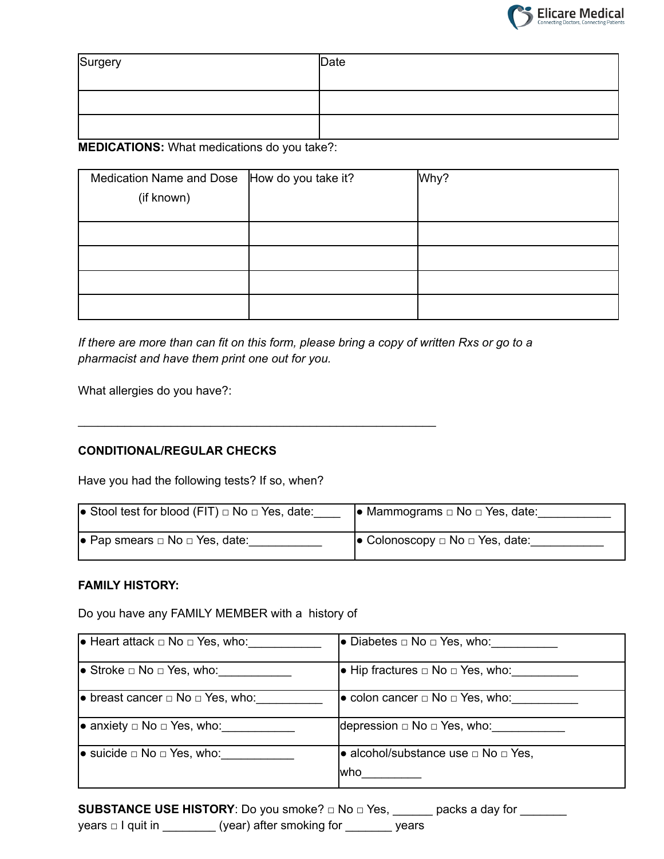

| Surgery | Date |
|---------|------|
|         |      |
|         |      |
|         |      |

**MEDICATIONS:** What medications do you take?:

| Medication Name and Dose  How do you take it? | Why? |
|-----------------------------------------------|------|
| (if known)                                    |      |
|                                               |      |
|                                               |      |
|                                               |      |
|                                               |      |
|                                               |      |

If there are more than can fit on this form, please bring a copy of written Rxs or go to a *pharmacist and have them print one out for you.*

\_\_\_\_\_\_\_\_\_\_\_\_\_\_\_\_\_\_\_\_\_\_\_\_\_\_\_\_\_\_\_\_\_\_\_\_\_\_\_\_\_\_\_\_\_\_\_\_\_\_\_\_\_\_

What allergies do you have?:

#### **CONDITIONAL/REGULAR CHECKS**

Have you had the following tests? If so, when?

| • Stool test for blood (FIT) $\Box$ No $\Box$ Yes, date: | ● Mammograms □ No □ Yes, date:            |
|----------------------------------------------------------|-------------------------------------------|
| • Pap smears $\Box$ No $\Box$ Yes, date:                 | • Colonoscopy $\Box$ No $\Box$ Yes, date: |

#### **FAMILY HISTORY:**

Do you have any FAMILY MEMBER with a history of

| l● Heart attack □ No □ Yes, who:           | l● Diabetes □ No □ Yes, who:                         |
|--------------------------------------------|------------------------------------------------------|
| l• Stroke $□$ No $□$ Yes, who:             | l• Hip fractures □ No □ Yes, who:                    |
| • breast cancer $\Box$ No $\Box$ Yes, who: | $\bullet$ colon cancer $\Box$ No $\Box$ Yes, who:    |
| • anxiety $\Box$ No $\Box$ Yes, who:       | depression $\Box$ No $\Box$ Yes, who:                |
| l• suicide $□$ No $□$ Yes, who:            | • alcohol/substance use $\Box$ No $\Box$ Yes,<br>who |

**SUBSTANCE USE HISTORY**: Do you smoke? □ No □ Yes, \_\_\_\_\_\_ packs a day for \_\_\_\_\_\_\_ years □ I quit in \_\_\_\_\_\_\_\_ (year) after smoking for \_\_\_\_\_\_\_ years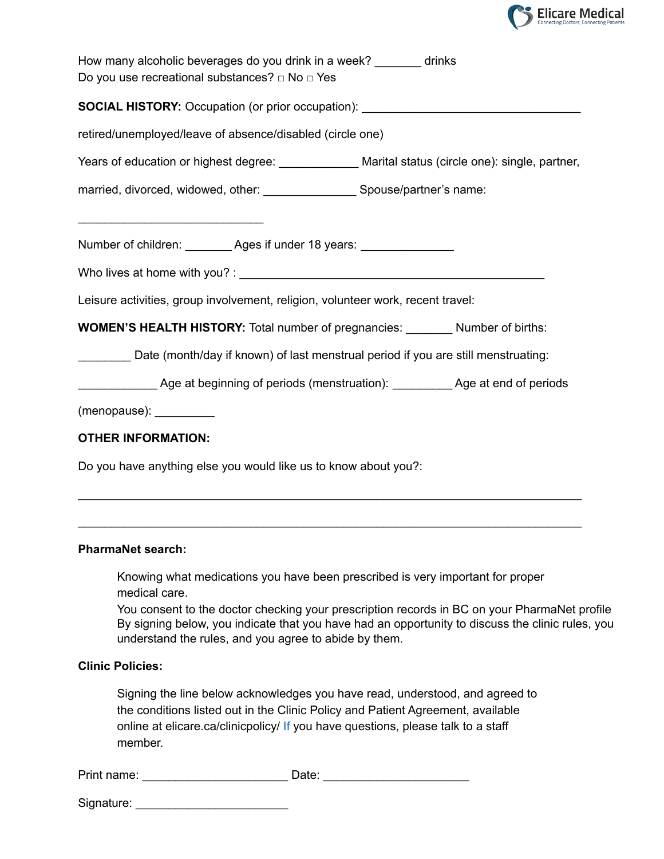

| How many alcoholic beverages do you drink in a week? _______ drinks<br>Do you use recreational substances? $\Box$ No $\Box$ Yes |  |  |  |  |  |
|---------------------------------------------------------------------------------------------------------------------------------|--|--|--|--|--|
| <b>SOCIAL HISTORY:</b> Occupation (or prior occupation): _____________________________                                          |  |  |  |  |  |
| retired/unemployed/leave of absence/disabled (circle one)                                                                       |  |  |  |  |  |
| Years of education or highest degree: ______________ Marital status (circle one): single, partner,                              |  |  |  |  |  |
| married, divorced, widowed, other: _______________________Spouse/partner's name:                                                |  |  |  |  |  |
| <u> 2002 - Johann John Stone, market av den større og det blev til et al. 1990 - og det blev til et al. 1990 - og</u>           |  |  |  |  |  |
| Number of children: __________ Ages if under 18 years: _________________                                                        |  |  |  |  |  |
|                                                                                                                                 |  |  |  |  |  |
| Leisure activities, group involvement, religion, volunteer work, recent travel:                                                 |  |  |  |  |  |
| <b>WOMEN'S HEALTH HISTORY:</b> Total number of pregnancies: ________ Number of births:                                          |  |  |  |  |  |
| Date (month/day if known) of last menstrual period if you are still menstruating:                                               |  |  |  |  |  |
|                                                                                                                                 |  |  |  |  |  |
|                                                                                                                                 |  |  |  |  |  |
| <b>OTHER INFORMATION:</b>                                                                                                       |  |  |  |  |  |

Do you have anything else you would like us to know about you?:

#### **PharmaNet search:**

Knowing what medications you have been prescribed is very important for proper medical care.

\_\_\_\_\_\_\_\_\_\_\_\_\_\_\_\_\_\_\_\_\_\_\_\_\_\_\_\_\_\_\_\_\_\_\_\_\_\_\_\_\_\_\_\_\_\_\_\_\_\_\_\_\_\_\_\_\_\_\_\_\_\_\_\_\_\_\_\_\_\_\_\_\_\_\_\_

\_\_\_\_\_\_\_\_\_\_\_\_\_\_\_\_\_\_\_\_\_\_\_\_\_\_\_\_\_\_\_\_\_\_\_\_\_\_\_\_\_\_\_\_\_\_\_\_\_\_\_\_\_\_\_\_\_\_\_\_\_\_\_\_\_\_\_\_\_\_\_\_\_\_\_\_

You consent to the doctor checking your prescription records in BC on your PharmaNet profile By signing below, you indicate that you have had an opportunity to discuss the clinic rules, you understand the rules, and you agree to abide by them.

#### **Clinic Policies:**

Signing the line below acknowledges you have read, understood, and agreed to the conditions listed out in the Clinic Policy and Patient Agreement, available online at elicare.ca/clinicpolicy/ If you have questions, please talk to a staff member.

Print name: \_\_\_\_\_\_\_\_\_\_\_\_\_\_\_\_\_\_\_\_\_\_ Date: \_\_\_\_\_\_\_\_\_\_\_\_\_\_\_\_\_\_\_\_\_\_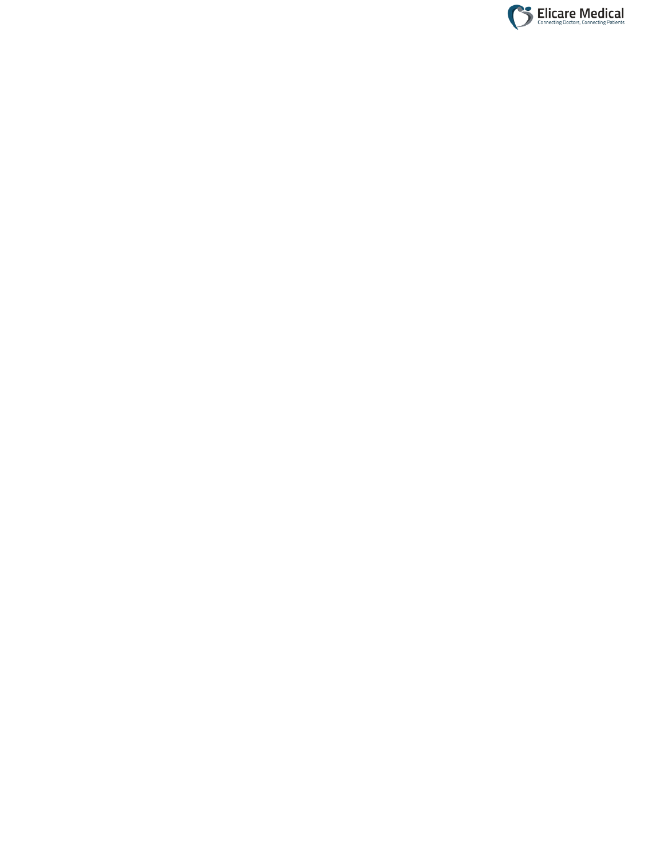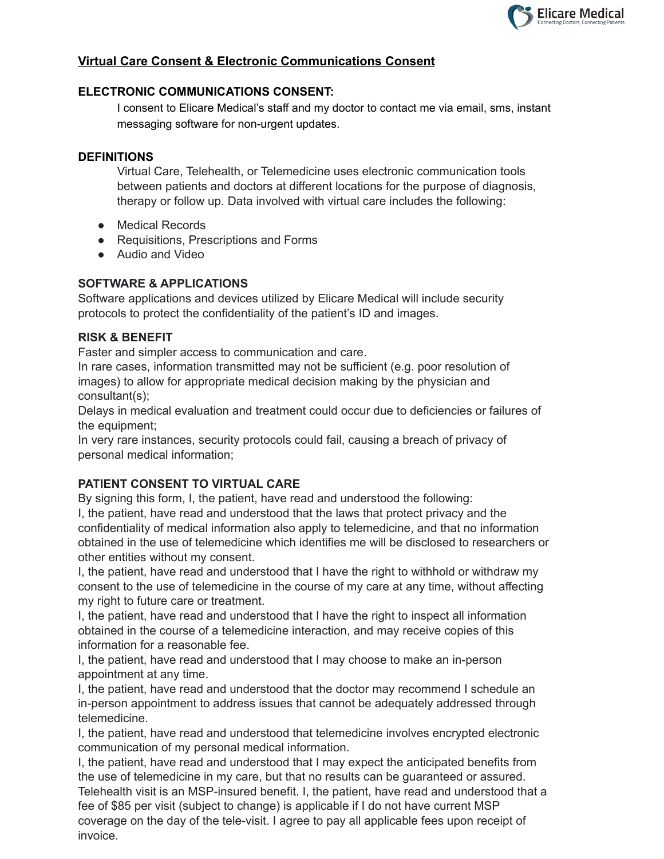

### **Virtual Care Consent & Electronic Communications Consent**

#### **ELECTRONIC COMMUNICATIONS CONSENT:**

I consent to Elicare Medical's staff and my doctor to contact me via email, sms, instant messaging software for non-urgent updates.

#### **DEFINITIONS**

Virtual Care, Telehealth, or Telemedicine uses electronic communication tools between patients and doctors at different locations for the purpose of diagnosis, therapy or follow up. Data involved with virtual care includes the following:

- Medical Records
- Requisitions, Prescriptions and Forms
- Audio and Video

#### **SOFTWARE & APPLICATIONS**

Software applications and devices utilized by Elicare Medical will include security protocols to protect the confidentiality of the patient's ID and images.

#### **RISK & BENEFIT**

Faster and simpler access to communication and care.

In rare cases, information transmitted may not be sufficient (e.g. poor resolution of images) to allow for appropriate medical decision making by the physician and consultant(s);

Delays in medical evaluation and treatment could occur due to deficiencies or failures of the equipment;

In very rare instances, security protocols could fail, causing a breach of privacy of personal medical information;

#### **PATIENT CONSENT TO VIRTUAL CARE**

By signing this form, I, the patient, have read and understood the following: I, the patient, have read and understood that the laws that protect privacy and the confidentiality of medical information also apply to telemedicine, and that no information obtained in the use of telemedicine which identifies me will be disclosed to researchers or other entities without my consent.

I, the patient, have read and understood that I have the right to withhold or withdraw my consent to the use of telemedicine in the course of my care at any time, without affecting my right to future care or treatment.

I, the patient, have read and understood that I have the right to inspect all information obtained in the course of a telemedicine interaction, and may receive copies of this information for a reasonable fee.

I, the patient, have read and understood that I may choose to make an in-person appointment at any time.

I, the patient, have read and understood that the doctor may recommend I schedule an in-person appointment to address issues that cannot be adequately addressed through telemedicine.

I, the patient, have read and understood that telemedicine involves encrypted electronic communication of my personal medical information.

I, the patient, have read and understood that I may expect the anticipated benefits from the use of telemedicine in my care, but that no results can be guaranteed or assured. Telehealth visit is an MSP-insured benefit. I, the patient, have read and understood that a fee of \$85 per visit (subject to change) is applicable if I do not have current MSP coverage on the day of the tele-visit. I agree to pay all applicable fees upon receipt of invoice.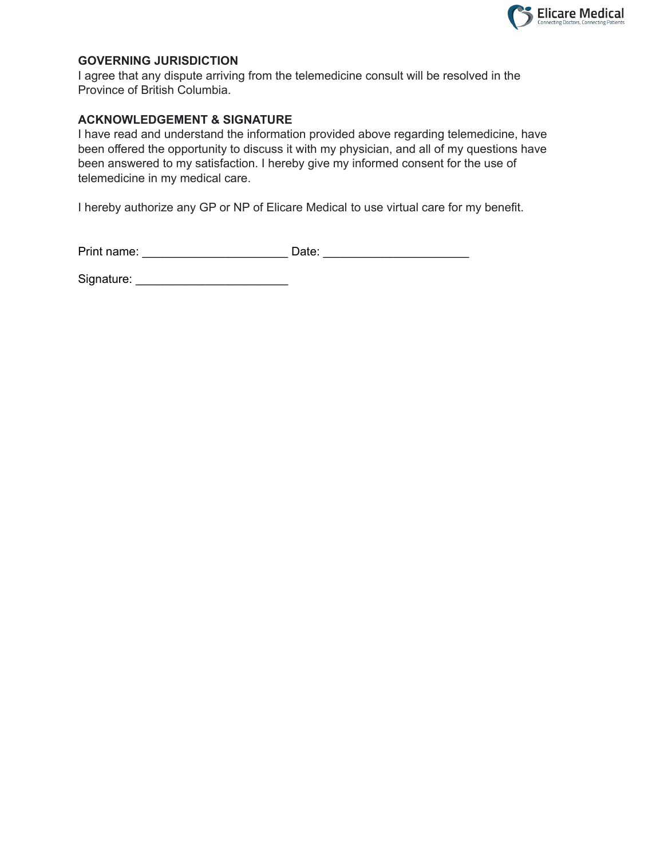

#### **GOVERNING JURISDICTION**

I agree that any dispute arriving from the telemedicine consult will be resolved in the Province of British Columbia.

#### **ACKNOWLEDGEMENT & SIGNATURE**

I have read and understand the information provided above regarding telemedicine, have been offered the opportunity to discuss it with my physician, and all of my questions have been answered to my satisfaction. I hereby give my informed consent for the use of telemedicine in my medical care.

I hereby authorize any GP or NP of Elicare Medical to use virtual care for my benefit.

Print name: \_\_\_\_\_\_\_\_\_\_\_\_\_\_\_\_\_\_\_\_\_\_ Date: \_\_\_\_\_\_\_\_\_\_\_\_\_\_\_\_\_\_\_\_\_\_

Signature: \_\_\_\_\_\_\_\_\_\_\_\_\_\_\_\_\_\_\_\_\_\_\_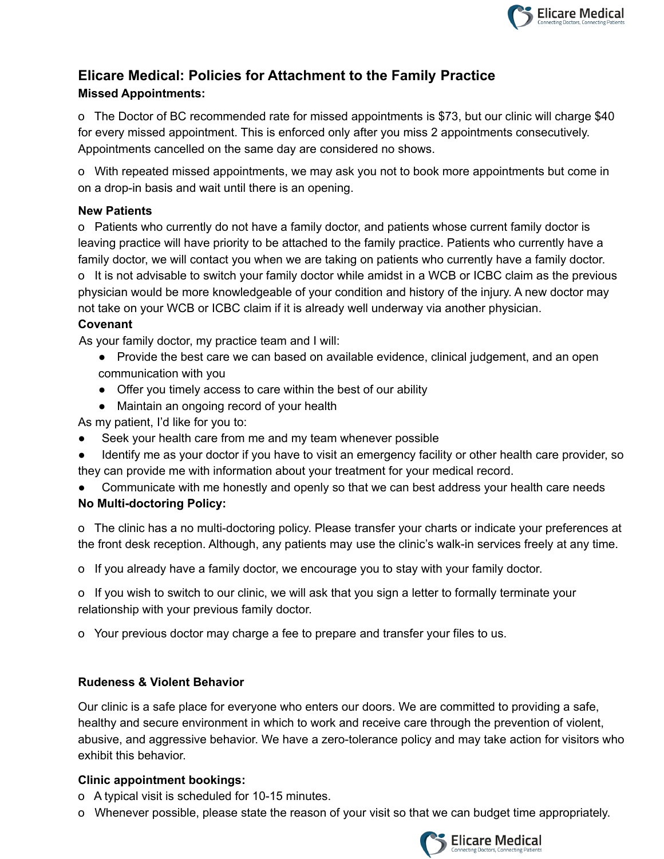

# **Elicare Medical: Policies for Attachment to the Family Practice Missed Appointments:**

o The Doctor of BC recommended rate for missed appointments is \$73, but our clinic will charge \$40 for every missed appointment. This is enforced only after you miss 2 appointments consecutively. Appointments cancelled on the same day are considered no shows.

o With repeated missed appointments, we may ask you not to book more appointments but come in on a drop-in basis and wait until there is an opening.

# **New Patients**

o Patients who currently do not have a family doctor, and patients whose current family doctor is leaving practice will have priority to be attached to the family practice. Patients who currently have a family doctor, we will contact you when we are taking on patients who currently have a family doctor. o It is not advisable to switch your family doctor while amidst in a WCB or ICBC claim as the previous physician would be more knowledgeable of your condition and history of the injury. A new doctor may not take on your WCB or ICBC claim if it is already well underway via another physician.

# **Covenant**

As your family doctor, my practice team and I will:

- Provide the best care we can based on available evidence, clinical judgement, and an open communication with you
- Offer you timely access to care within the best of our ability
- Maintain an ongoing record of your health

As my patient, I'd like for you to:

- Seek your health care from me and my team whenever possible
- Identify me as your doctor if you have to visit an emergency facility or other health care provider, so they can provide me with information about your treatment for your medical record.
- Communicate with me honestly and openly so that we can best address your health care needs **No Multi-doctoring Policy:**

o The clinic has a no multi-doctoring policy. Please transfer your charts or indicate your preferences at the front desk reception. Although, any patients may use the clinic's walk-in services freely at any time.

o If you already have a family doctor, we encourage you to stay with your family doctor.

o If you wish to switch to our clinic, we will ask that you sign a letter to formally terminate your relationship with your previous family doctor.

o Your previous doctor may charge a fee to prepare and transfer your files to us.

# **Rudeness & Violent Behavior**

Our clinic is a safe place for everyone who enters our doors. We are committed to providing a safe, healthy and secure environment in which to work and receive care through the prevention of violent, abusive, and aggressive behavior. We have a zero-tolerance policy and may take action for visitors who exhibit this behavior.

# **Clinic appointment bookings:**

- o A typical visit is scheduled for 10-15 minutes.
- o Whenever possible, please state the reason of your visit so that we can budget time appropriately.

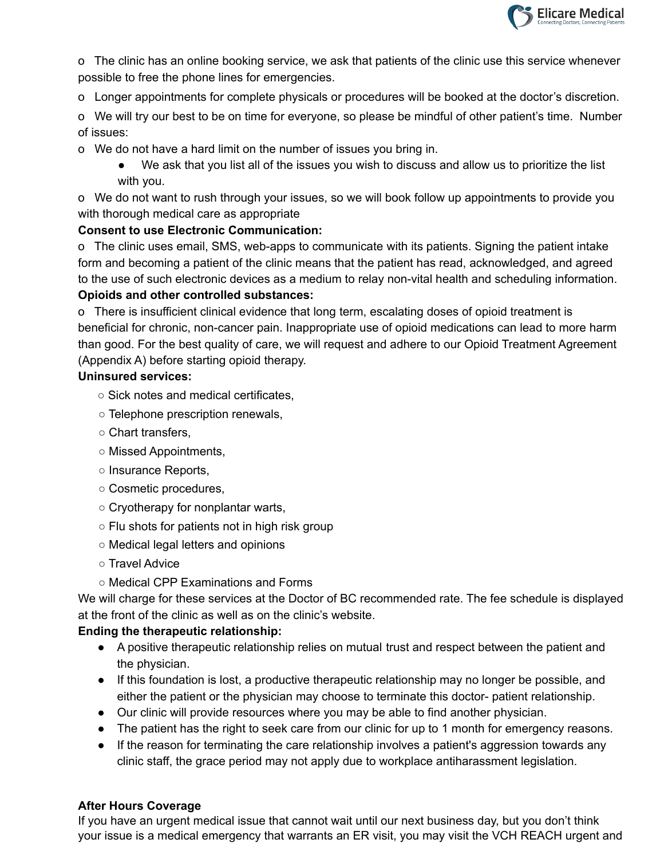

o The clinic has an online booking service, we ask that patients of the clinic use this service whenever possible to free the phone lines for emergencies.

o Longer appointments for complete physicals or procedures will be booked at the doctor's discretion.

o We will try our best to be on time for everyone, so please be mindful of other patient's time. Number of issues:

o We do not have a hard limit on the number of issues you bring in.

● We ask that you list all of the issues you wish to discuss and allow us to prioritize the list with you.

o We do not want to rush through your issues, so we will book follow up appointments to provide you with thorough medical care as appropriate

# **Consent to use Electronic Communication:**

o The clinic uses email, SMS, web-apps to communicate with its patients. Signing the patient intake form and becoming a patient of the clinic means that the patient has read, acknowledged, and agreed to the use of such electronic devices as a medium to relay non-vital health and scheduling information.

### **Opioids and other controlled substances:**

o There is insufficient clinical evidence that long term, escalating doses of opioid treatment is beneficial for chronic, non-cancer pain. Inappropriate use of opioid medications can lead to more harm than good. For the best quality of care, we will request and adhere to our Opioid Treatment Agreement (Appendix A) before starting opioid therapy.

# **Uninsured services:**

- Sick notes and medical certificates,
- Telephone prescription renewals,
- Chart transfers,
- Missed Appointments,
- Insurance Reports,
- Cosmetic procedures,
- Cryotherapy for nonplantar warts,
- Flu shots for patients not in high risk group
- Medical legal letters and opinions
- Travel Advice
- Medical CPP Examinations and Forms

We will charge for these services at the Doctor of BC recommended rate. The fee schedule is displayed at the front of the clinic as well as on the clinic's website.

# **Ending the therapeutic relationship:**

- A positive therapeutic relationship relies on mutual trust and respect between the patient and the physician.
- If this foundation is lost, a productive therapeutic relationship may no longer be possible, and either the patient or the physician may choose to terminate this doctor- patient relationship.
- Our clinic will provide resources where you may be able to find another physician.
- The patient has the right to seek care from our clinic for up to 1 month for emergency reasons.
- If the reason for terminating the care relationship involves a patient's aggression towards any clinic staff, the grace period may not apply due to workplace antiharassment legislation.

#### **After Hours Coverage**

If you have an urgent medical issue that cannot wait until our next business day, but you don't think your issue is a medical emergency that warrants an ER visit, you may visit the VCH REACH urgent and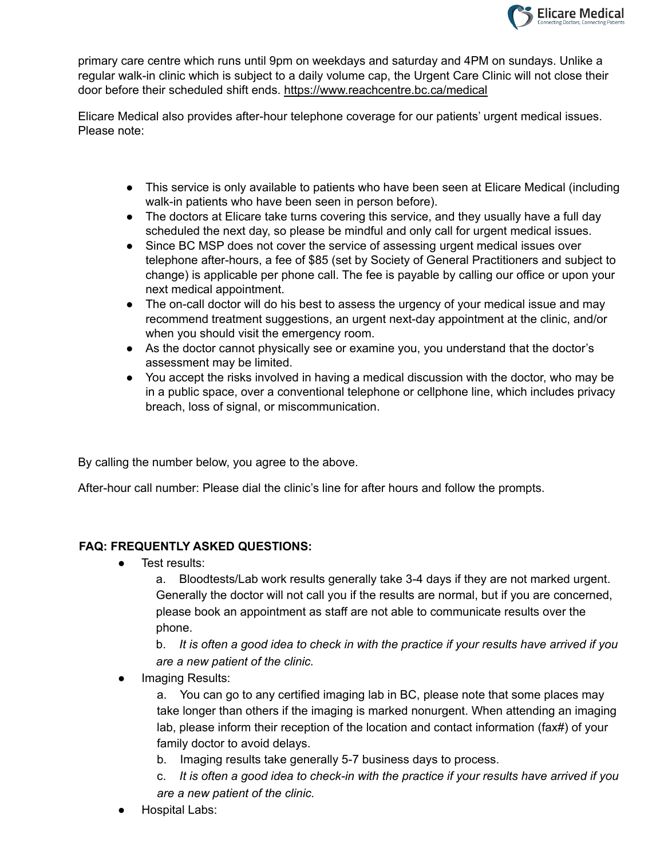

primary care centre which runs until 9pm on weekdays and saturday and 4PM on sundays. Unlike a regular walk-in clinic which is subject to a daily volume cap, the Urgent Care Clinic will not close their door before their scheduled shift ends. <https://www.reachcentre.bc.ca/medical>

Elicare Medical also provides after-hour telephone coverage for our patients' urgent medical issues. Please note:

- This service is only available to patients who have been seen at Elicare Medical (including walk-in patients who have been seen in person before).
- The doctors at Elicare take turns covering this service, and they usually have a full day scheduled the next day, so please be mindful and only call for urgent medical issues.
- Since BC MSP does not cover the service of assessing urgent medical issues over telephone after-hours, a fee of \$85 (set by Society of General Practitioners and subject to change) is applicable per phone call. The fee is payable by calling our office or upon your next medical appointment.
- The on-call doctor will do his best to assess the urgency of your medical issue and may recommend treatment suggestions, an urgent next-day appointment at the clinic, and/or when you should visit the emergency room.
- As the doctor cannot physically see or examine you, you understand that the doctor's assessment may be limited.
- You accept the risks involved in having a medical discussion with the doctor, who may be in a public space, over a conventional telephone or cellphone line, which includes privacy breach, loss of signal, or miscommunication.

By calling the number below, you agree to the above.

After-hour call number: Please dial the clinic's line for after hours and follow the prompts.

# **FAQ: FREQUENTLY ASKED QUESTIONS:**

● Test results:

a. Bloodtests/Lab work results generally take 3-4 days if they are not marked urgent. Generally the doctor will not call you if the results are normal, but if you are concerned, please book an appointment as staff are not able to communicate results over the phone.

b. It is often a good idea to check in with the practice if your results have arrived if you *are a new patient of the clinic.*

Imaging Results:

a. You can go to any certified imaging lab in BC, please note that some places may take longer than others if the imaging is marked nonurgent. When attending an imaging lab, please inform their reception of the location and contact information (fax#) of your family doctor to avoid delays.

- b. Imaging results take generally 5-7 business days to process.
- c. *It is often a good idea to check-in with the practice if your results have arrived if you are a new patient of the clinic.*
- Hospital Labs: